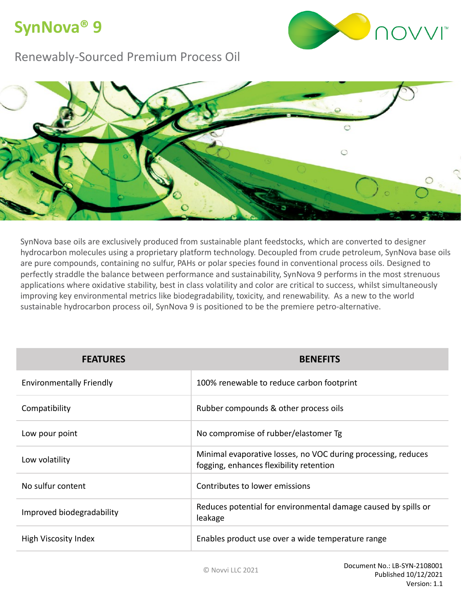## **SynNova® 9**



#### Renewably-Sourced Premium Process Oil



SynNova base oils are exclusively produced from sustainable plant feedstocks, which are converted to designer hydrocarbon molecules using a proprietary platform technology. Decoupled from crude petroleum, SynNova base oils are pure compounds, containing no sulfur, PAHs or polar species found in conventional process oils. Designed to perfectly straddle the balance between performance and sustainability, SynNova 9 performs in the most strenuous applications where oxidative stability, best in class volatility and color are critical to success, whilst simultaneously improving key environmental metrics like biodegradability, toxicity, and renewability. As a new to the world sustainable hydrocarbon process oil, SynNova 9 is positioned to be the premiere petro-alternative.

| <b>FEATURES</b>                 | <b>BENEFITS</b>                                                                                          |  |
|---------------------------------|----------------------------------------------------------------------------------------------------------|--|
| <b>Environmentally Friendly</b> | 100% renewable to reduce carbon footprint                                                                |  |
| Compatibility                   | Rubber compounds & other process oils                                                                    |  |
| Low pour point                  | No compromise of rubber/elastomer Tg                                                                     |  |
| Low volatility                  | Minimal evaporative losses, no VOC during processing, reduces<br>fogging, enhances flexibility retention |  |
| No sulfur content               | Contributes to lower emissions                                                                           |  |
| Improved biodegradability       | Reduces potential for environmental damage caused by spills or<br>leakage                                |  |
| High Viscosity Index            | Enables product use over a wide temperature range                                                        |  |